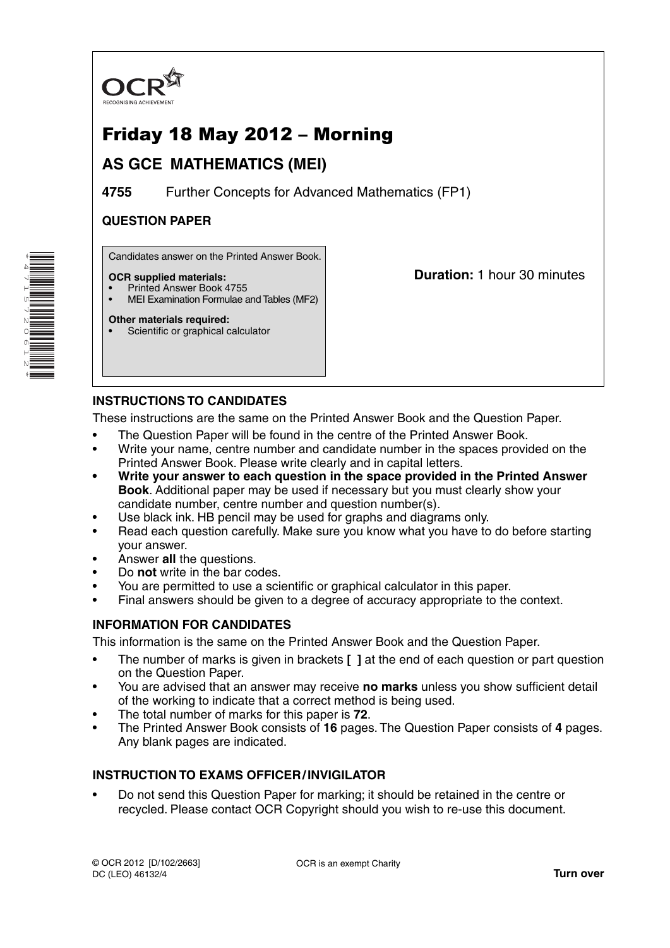

# Friday 18 May 2012 – Morning

## **AS GCE MATHEMATICS (MEI)**

**4755** Further Concepts for Advanced Mathematics (FP1)

### **QUESTION PAPER**

Candidates answer on the Printed Answer Book.

#### **OCR supplied materials:**

- Printed Answer Book 4755
- MEI Examination Formulae and Tables (MF2)

**Duration:** 1 hour 30 minutes

### **Other materials required:**

Scientific or graphical calculator

### **INSTRUCTIONS TO CANDIDATES**

These instructions are the same on the Printed Answer Book and the Question Paper.

- The Question Paper will be found in the centre of the Printed Answer Book.
- Write your name, centre number and candidate number in the spaces provided on the Printed Answer Book. Please write clearly and in capital letters.
- **Write your answer to each question in the space provided in the Printed Answer Book**. Additional paper may be used if necessary but you must clearly show your candidate number, centre number and question number(s).
- Use black ink. HB pencil may be used for graphs and diagrams only.
- Read each question carefully. Make sure you know what you have to do before starting your answer.
- Answer **all** the questions.
- Do **not** write in the bar codes.
- You are permitted to use a scientific or graphical calculator in this paper.
- Final answers should be given to a degree of accuracy appropriate to the context.

### **INFORMATION FOR CANDIDATES**

This information is the same on the Printed Answer Book and the Question Paper.

- The number of marks is given in brackets **[ ]** at the end of each question or part question on the Question Paper.
- You are advised that an answer may receive **no marks** unless you show sufficient detail of the working to indicate that a correct method is being used.
- The total number of marks for this paper is **72**.
- The Printed Answer Book consists of **16** pages. The Question Paper consists of **4** pages. Any blank pages are indicated.

### **INSTRUCTION TO EXAMS OFFICER / INVIGILATOR**

• Do not send this Question Paper for marking; it should be retained in the centre or recycled. Please contact OCR Copyright should you wish to re-use this document.

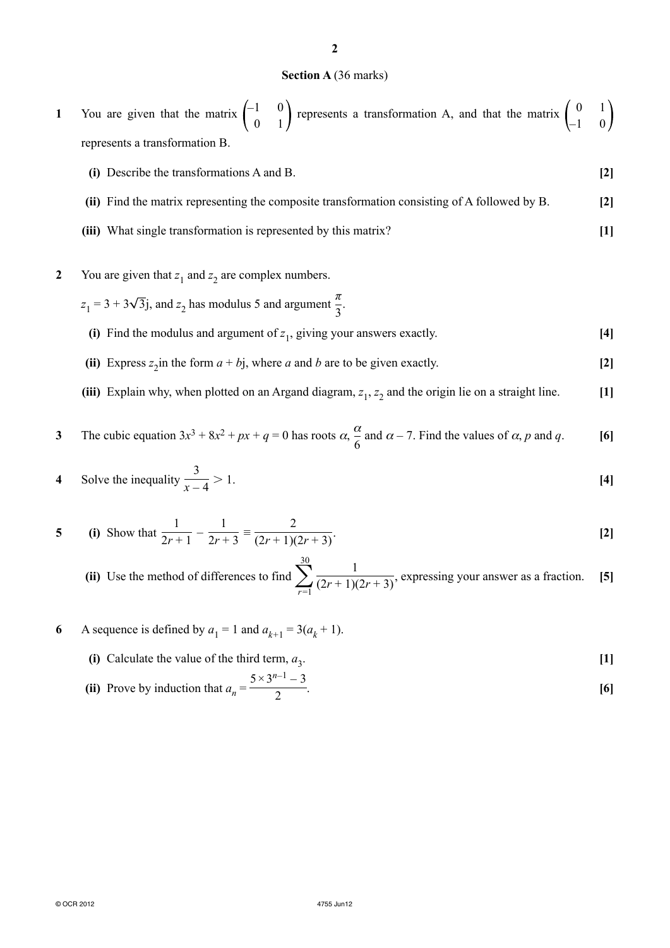#### **Section A** (36 marks)

|                                | 1 You are given that the matrix $\begin{pmatrix} -1 & 0 \\ 0 & 1 \end{pmatrix}$ represents a transformation A, and that the matrix $\begin{pmatrix} 0 & 1 \\ -1 & 0 \end{pmatrix}$ |  |  |
|--------------------------------|------------------------------------------------------------------------------------------------------------------------------------------------------------------------------------|--|--|
| represents a transformation B. |                                                                                                                                                                                    |  |  |

- **(i)** Describe the transformations A and B. **[2] (ii)** Find the matrix representing the composite transformation consisting of A followed by B. **[2]**
- **(iii)** What single transformation is represented by this matrix? **[1]**
- **2** You are given that  $z_1$  and  $z_2$  are complex numbers.
- $z_1 = 3 + 3\sqrt{3}$  *j*, and  $z_2$  has modulus 5 and argument  $\frac{\pi}{3}$ .
	- **(i)** Find the modulus and argument of  $z_1$ , giving your answers exactly. [4]
	- (ii) Express  $z_2$  in the form  $a + bj$ , where *a* and *b* are to be given exactly. [2]
	- **(iii)** Explain why, when plotted on an Argand diagram,  $z_1$ ,  $z_2$  and the origin lie on a straight line.  $[1]$

3 The cubic equation 
$$
3x^3 + 8x^2 + px + q = 0
$$
 has roots  $\alpha$ ,  $\frac{\alpha}{6}$  and  $\alpha - 7$ . Find the values of  $\alpha$ , p and q. [6]

4 Solve the inequality 
$$
\frac{3}{x-4} > 1
$$
. [4]

5 (i) Show that 
$$
\frac{1}{2r+1} - \frac{1}{2r+3} \equiv \frac{2}{(2r+1)(2r+3)}
$$
. [2]

 **(ii)** Use the method of differences to find  $\sum_{r=1}^{30}$ 1  $\frac{1}{(2r+1)(2r+3)}$ , expressing your answer as a fraction. **[5]** 

- **6** A sequence is defined by  $a_1 = 1$  and  $a_{k+1} = 3(a_k + 1)$ .
	- **(i)** Calculate the value of the third term,  $a_3$ . [1]

(ii) Prove by induction that 
$$
a_n = \frac{5 \times 3^{n-1} - 3}{2}
$$
. [6]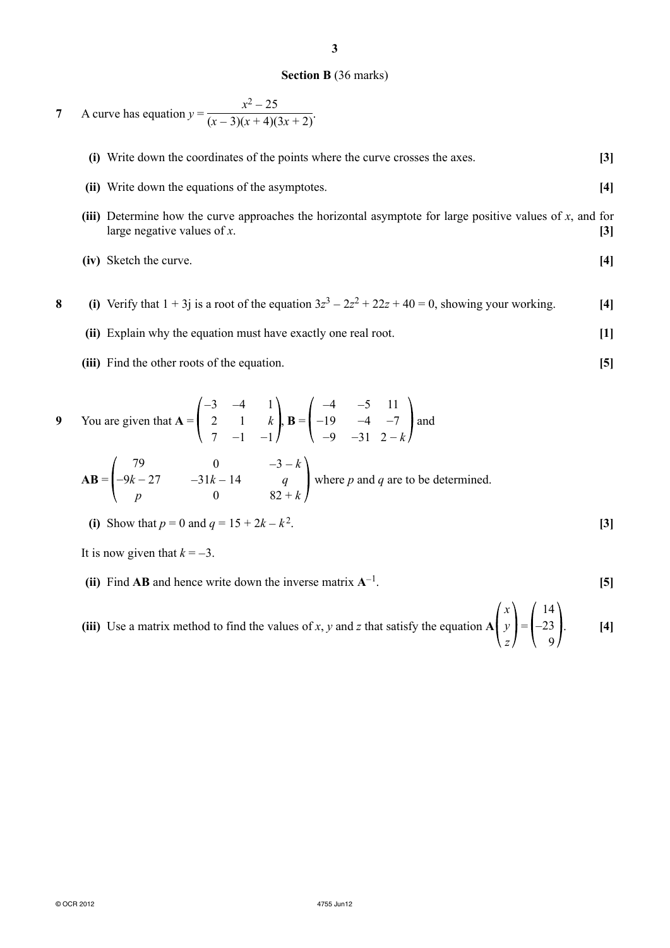### **Section B** (36 marks)

*x*<sup>2</sup> − 25

**3**

\n- 7 A curve has equation 
$$
y = \frac{x^2 - 25}{(x - 3)(x + 4)(3x + 2)}
$$
.
\n- (i) Write down the coordinates of the points where the curve crosses the axes.
\n- (ii) Write down the equations of the asymptotes.
\n- (iii) Determine how the curve approaches the horizontal asymptote for large positive values of *x*, and for large negative values of *x*.
\n- (iv) Sketch the curve.
\n- (v) Sketch the curve.
\n- (d) Verify that  $1 + 3j$  is a root of the equation  $3z^3 - 2z^2 + 22z + 40 = 0$ , showing your working.
\n- (v) Explain why the equation must have exactly one real root.
\n- (v) Find the other roots of the equation.
\n- (v) Find the other roots of the equation.
\n- (v) Find the other roots of the equation.
\n- (v) Find the other roots of the equation.
\n- (v) Find the other roots of the equation.
\n- (v) Find the other roots of the equation.
\n- (v) Find the other roots of the equation.
\n- (v) Find the other roots of the equation.
\n- (v) Find the other roots of the equation.
\n- (v) Find the other roots of the equation.
\n- (v) Find the other roots of the equation.
\n- (v) Find the other roots of the equation.
\n

9 You are given that 
$$
A = \begin{pmatrix} 2 & 1 & k \ 7 & -1 & -1 \end{pmatrix}
$$
,  $B = \begin{pmatrix} -19 & -4 & -7 \ -9 & -31 & 2-k \end{pmatrix}$  and  
\n $AB = \begin{pmatrix} 79 & 0 & -3-k \ -9k - 27 & -31k - 14 & q \ p & 0 & 82 + k \end{pmatrix}$  where *p* and *q* are to be determined.

(i) Show that 
$$
p = 0
$$
 and  $q = 15 + 2k - k^2$ . [3]

It is now given that  $k = -3$ .

**(ii)** Find **AB** and hence write down the inverse matrix  $A^{-1}$ . **[5]** 

 **(iii)** Use a matrix method to find the values of *x*, *y* and *z* that satisfy the equation **A** *x y z*  $\vert =$ 14 −23 9 . **[4]**